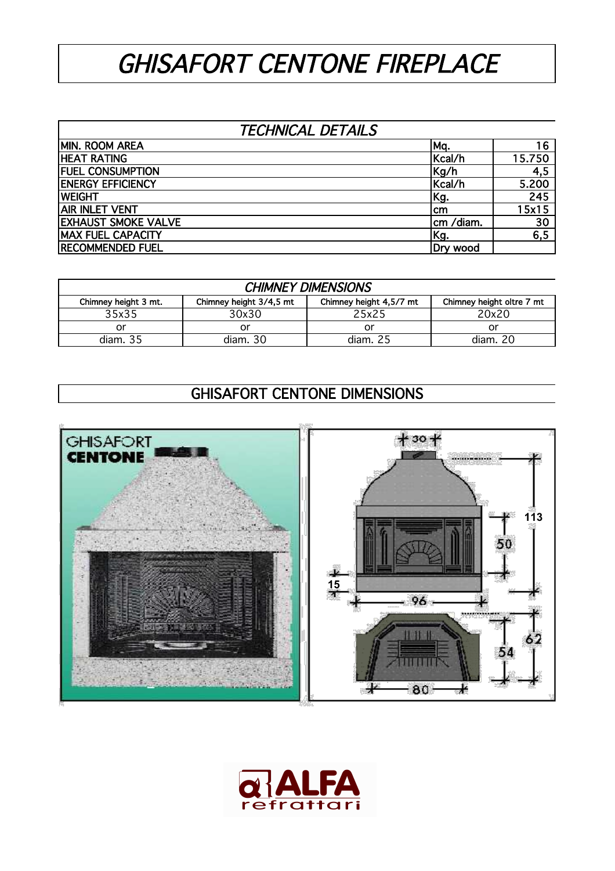## GHISAFORT CENTONE FIREPLACE

## TECHNICAL DETAILS

| MIN. ROOM AREA             | Mq.       | 16               |
|----------------------------|-----------|------------------|
| <b>HEAT RATING</b>         | Kcal/h    | 15.750           |
| <b>FUEL CONSUMPTION</b>    | Kg/h      | 4,5              |
| <b>ENERGY EFFICIENCY</b>   | Kcal/h    | 5.200            |
| <b>WEIGHT</b>              | Kg.       | $\overline{245}$ |
| <b>AIR INLET VENT</b>      | Icm       | 15x15            |
| <b>EXHAUST SMOKE VALVE</b> | cm /diam. | 30               |
| <b>MAX FUEL CAPACITY</b>   | Kg.       | 6,5              |
| <b>RECOMMENDED FUEL</b>    | Dry wood  |                  |

| <b>CHIMNEY DIMENSIONS</b> |                         |                         |                           |  |  |  |
|---------------------------|-------------------------|-------------------------|---------------------------|--|--|--|
| Chimney height 3 mt.      | Chimney height 3/4,5 mt | Chimney height 4,5/7 mt | Chimney height oltre 7 mt |  |  |  |
| 35x35                     | 30x30                   | 25x25                   | 20x20                     |  |  |  |
| or                        | or                      | or                      | or                        |  |  |  |
| diam. 35                  | diam. 30                | diam. $25$              | diam. 20                  |  |  |  |

## GHISAFORT CENTONE DIMENSIONS